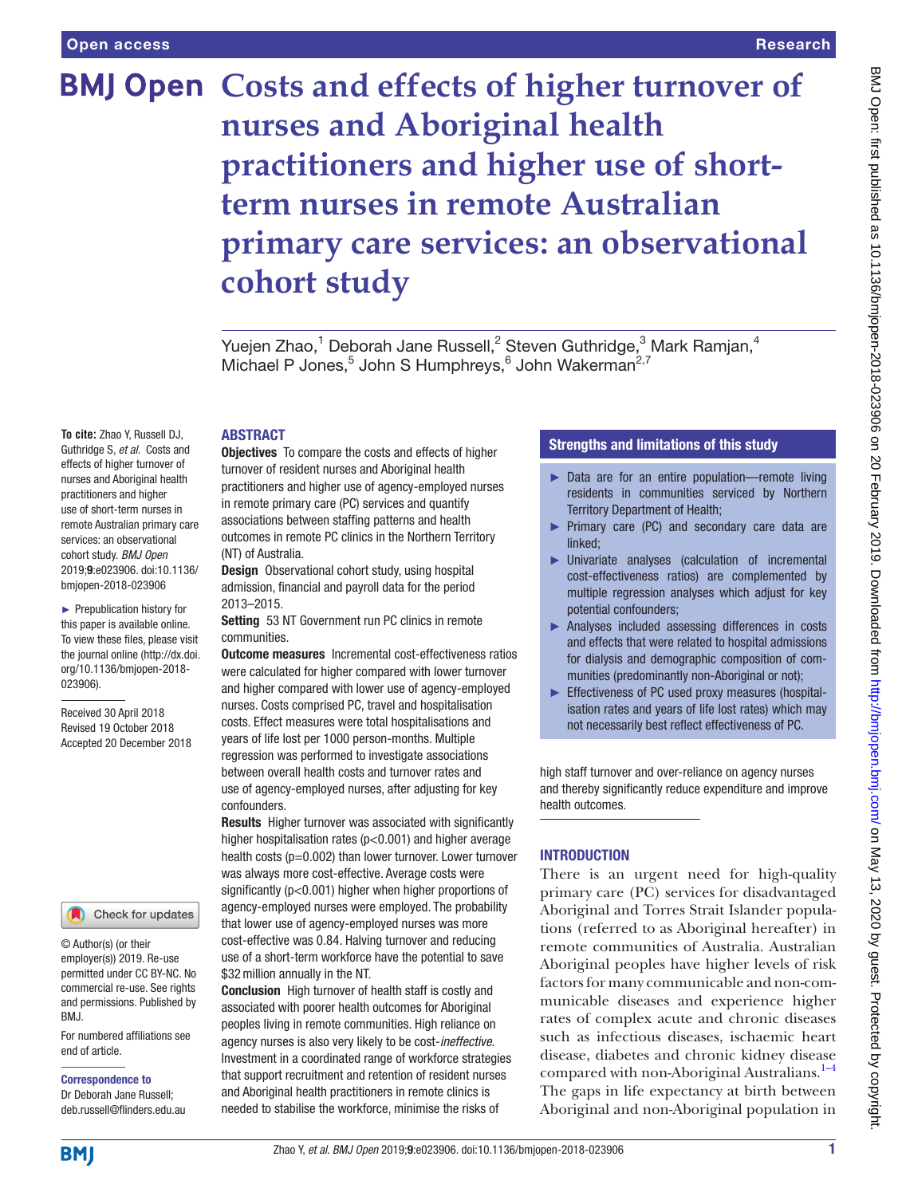# **BMJ Open Costs and effects of higher turnover of nurses and Aboriginal health practitioners and higher use of shortterm nurses in remote Australian primary care services: an observational cohort study**

Yuejen Zhao, $^1$  Deborah Jane Russell, $^2$  Steven Guthridge, $^3$  Mark Ramjan, $^4$ Michael P Jones,<sup>5</sup> John S Humphreys,<sup>6</sup> John Wakerman<sup>2,7</sup>

# **ABSTRACT**

**To cite:** Zhao Y, Russell DJ, Guthridge S, *et al*. Costs and effects of higher turnover of nurses and Aboriginal health practitioners and higher use of short-term nurses in remote Australian primary care services: an observational cohort study. *BMJ Open* 2019;9:e023906. doi:10.1136/ bmjopen-2018-023906

► Prepublication history for this paper is available online. To view these files, please visit the journal online [\(http://dx.doi.](http://dx.doi.org/10.1136/bmjopen-2018-023906) [org/10.1136/bmjopen-2018-](http://dx.doi.org/10.1136/bmjopen-2018-023906) [023906\)](http://dx.doi.org/10.1136/bmjopen-2018-023906).

Received 30 April 2018 Revised 19 October 2018 Accepted 20 December 2018



© Author(s) (or their employer(s)) 2019. Re-use permitted under CC BY-NC. No commercial re-use. See rights and permissions. Published by BMJ.

For numbered affiliations see end of article.

Correspondence to

Dr Deborah Jane Russell; deb.russell@flinders.edu.au Objectives To compare the costs and effects of higher turnover of resident nurses and Aboriginal health practitioners and higher use of agency-employed nurses in remote primary care (PC) services and quantify associations between staffing patterns and health outcomes in remote PC clinics in the Northern Territory (NT) of Australia.

Design Observational cohort study, using hospital admission, financial and payroll data for the period 2013–2015.

Setting 53 NT Government run PC clinics in remote communities.

**Outcome measures** Incremental cost-effectiveness ratios were calculated for higher compared with lower turnover and higher compared with lower use of agency-employed nurses. Costs comprised PC, travel and hospitalisation costs. Effect measures were total hospitalisations and years of life lost per 1000 person-months. Multiple regression was performed to investigate associations between overall health costs and turnover rates and use of agency-employed nurses, after adjusting for key confounders.

Results Higher turnover was associated with significantly higher hospitalisation rates (p<0.001) and higher average health costs (p=0.002) than lower turnover. Lower turnover was always more cost-effective. Average costs were significantly (p<0.001) higher when higher proportions of agency-employed nurses were employed. The probability that lower use of agency-employed nurses was more cost-effective was 0.84. Halving turnover and reducing use of a short-term workforce have the potential to save \$32million annually in the NT.

Conclusion High turnover of health staff is costly and associated with poorer health outcomes for Aboriginal peoples living in remote communities. High reliance on agency nurses is also very likely to be cost-*ineffective*. Investment in a coordinated range of workforce strategies that support recruitment and retention of resident nurses and Aboriginal health practitioners in remote clinics is needed to stabilise the workforce, minimise the risks of

# Strengths and limitations of this study

- ► Data are for an entire population—remote living residents in communities serviced by Northern Territory Department of Health;
- ► Primary care (PC) and secondary care data are linked;
- ► Univariate analyses (calculation of incremental cost-effectiveness ratios) are complemented by multiple regression analyses which adjust for key potential confounders;
- ► Analyses included assessing differences in costs and effects that were related to hospital admissions for dialysis and demographic composition of communities (predominantly non-Aboriginal or not);
- ► Effectiveness of PC used proxy measures (hospitalisation rates and years of life lost rates) which may not necessarily best reflect effectiveness of PC.

high staff turnover and over-reliance on agency nurses and thereby significantly reduce expenditure and improve health outcomes.

# **INTRODUCTION**

There is an urgent need for high-quality primary care (PC) services for disadvantaged Aboriginal and Torres Strait Islander populations (referred to as Aboriginal hereafter) in remote communities of Australia. Australian Aboriginal peoples have higher levels of risk factors for many communicable and non-communicable diseases and experience higher rates of complex acute and chronic diseases such as infectious diseases, ischaemic heart disease, diabetes and chronic kidney disease compared with non-Aboriginal Australians.<sup>1-4</sup> The gaps in life expectancy at birth between Aboriginal and non-Aboriginal population in

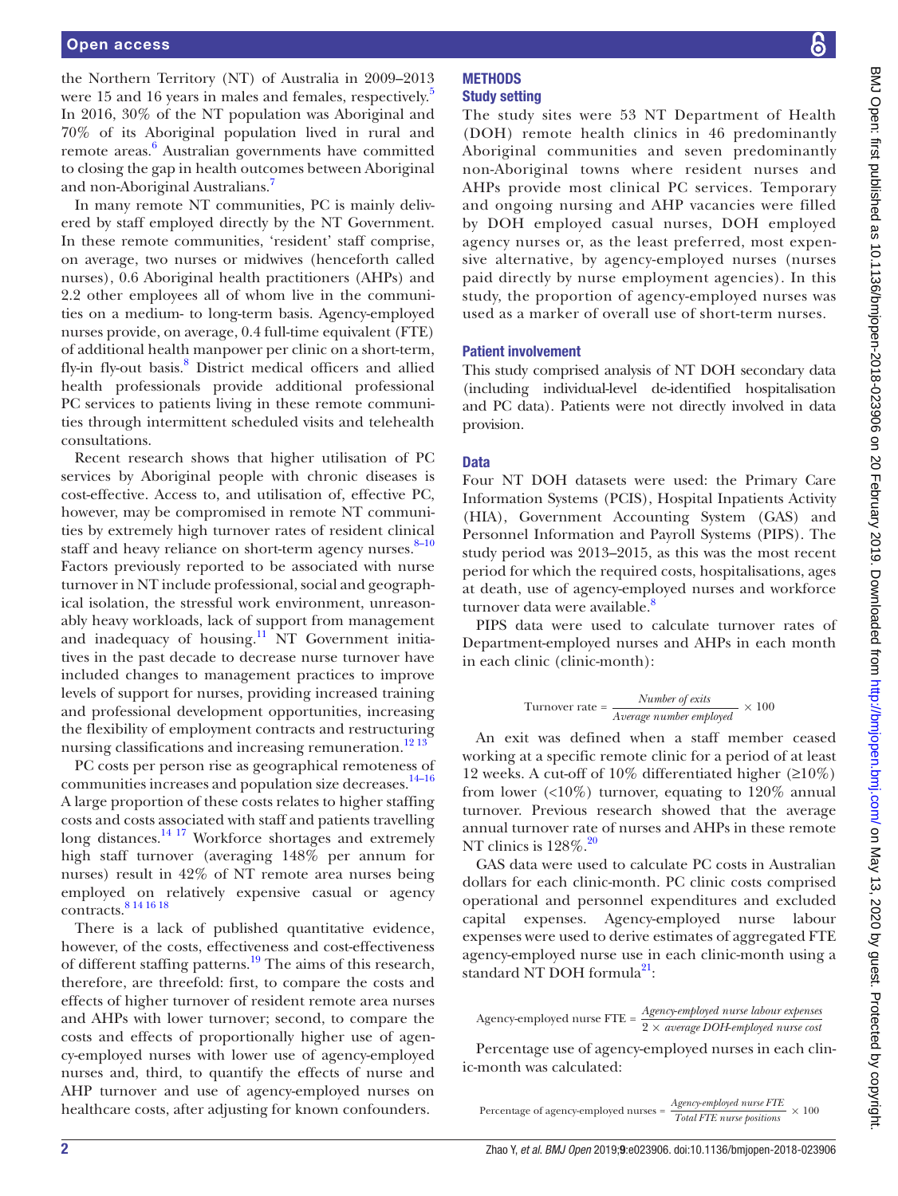the Northern Territory (NT) of Australia in 2009–2013 were 1[5](#page-7-1) and 16 years in males and females, respectively.<sup>5</sup> In 2016, 30% of the NT population was Aboriginal and 70% of its Aboriginal population lived in rural and remote areas.<sup>[6](#page-7-2)</sup> Australian governments have committed to closing the gap in health outcomes between Aboriginal and non-Aboriginal Australians.[7](#page-7-3)

In many remote NT communities, PC is mainly delivered by staff employed directly by the NT Government. In these remote communities, 'resident' staff comprise, on average, two nurses or midwives (henceforth called nurses), 0.6 Aboriginal health practitioners (AHPs) and 2.2 other employees all of whom live in the communities on a medium- to long-term basis. Agency-employed nurses provide, on average, 0.4 full-time equivalent (FTE) of additional health manpower per clinic on a short-term, fly-in fly-out basis.<sup>[8](#page-7-4)</sup> District medical officers and allied health professionals provide additional professional PC services to patients living in these remote communities through intermittent scheduled visits and telehealth consultations.

Recent research shows that higher utilisation of PC services by Aboriginal people with chronic diseases is cost-effective. Access to, and utilisation of, effective PC, however, may be compromised in remote NT communities by extremely high turnover rates of resident clinical staff and heavy reliance on short-term agency nurses. $8-10$ Factors previously reported to be associated with nurse turnover in NT include professional, social and geographical isolation, the stressful work environment, unreasonably heavy workloads, lack of support from management and inadequacy of housing.<sup>11</sup> NT Government initiatives in the past decade to decrease nurse turnover have included changes to management practices to improve levels of support for nurses, providing increased training and professional development opportunities, increasing the flexibility of employment contracts and restructuring nursing classifications and increasing remuneration.<sup>[12 13](#page-7-6)</sup>

PC costs per person rise as geographical remoteness of communities increases and population size decreases[.14–16](#page-7-7) A large proportion of these costs relates to higher staffing costs and costs associated with staff and patients travelling long distances.<sup>14 17</sup> Workforce shortages and extremely high staff turnover (averaging 148% per annum for nurses) result in 42% of NT remote area nurses being employed on relatively expensive casual or agency contracts.[8 14 16 18](#page-7-4)

There is a lack of published quantitative evidence, however, of the costs, effectiveness and cost-effectiveness of different staffing patterns.<sup>19</sup> The aims of this research, therefore, are threefold: first, to compare the costs and effects of higher turnover of resident remote area nurses and AHPs with lower turnover; second, to compare the costs and effects of proportionally higher use of agency-employed nurses with lower use of agency-employed nurses and, third, to quantify the effects of nurse and AHP turnover and use of agency-employed nurses on healthcare costs, after adjusting for known confounders.

#### **METHODS** Study setting

The study sites were 53 NT Department of Health (DOH) remote health clinics in 46 predominantly Aboriginal communities and seven predominantly non-Aboriginal towns where resident nurses and AHPs provide most clinical PC services. Temporary and ongoing nursing and AHP vacancies were filled by DOH employed casual nurses, DOH employed agency nurses or, as the least preferred, most expensive alternative, by agency-employed nurses (nurses paid directly by nurse employment agencies). In this study, the proportion of agency-employed nurses was used as a marker of overall use of short-term nurses.

#### Patient involvement

This study comprised analysis of NT DOH secondary data (including individual-level de-identified hospitalisation and PC data). Patients were not directly involved in data provision.

#### Data

Four NT DOH datasets were used: the Primary Care Information Systems (PCIS), Hospital Inpatients Activity (HIA), Government Accounting System (GAS) and Personnel Information and Payroll Systems (PIPS). The study period was 2013–2015, as this was the most recent period for which the required costs, hospitalisations, ages at death, use of agency-employed nurses and workforce turnover data were available.<sup>[8](#page-7-4)</sup>

PIPS data were used to calculate turnover rates of Department-employed nurses and AHPs in each month in each clinic (clinic-month):

Turnover rate = 
$$
\frac{Number\ of\ exits}{Average\ number\ employed} \times 100
$$

An exit was defined when a staff member ceased working at a specific remote clinic for a period of at least 12 weeks. A cut-off of 10% differentiated higher (≥10%) from lower  $\langle$ <10%) turnover, equating to 120% annual turnover. Previous research showed that the average annual turnover rate of nurses and AHPs in these remote NT clinics is  $128\%$ <sup>[20](#page-7-9)</sup>

GAS data were used to calculate PC costs in Australian dollars for each clinic-month. PC clinic costs comprised operational and personnel expenditures and excluded capital expenses. Agency-employed nurse labour expenses were used to derive estimates of aggregated FTE agency-employed nurse use in each clinic-month using a standard NT DOH formula<sup>21</sup>:

Percentage use of agency-employed nurses in each clinic-month was calculated:

Agency-employed nurse FTE = *Agency*-*employed nurse labour expenses* 2 *× average DOH*-*employed nurse cost*

Percentage of agency-employed nurses = *Agency*-*employed nurse FTE Total FTE nurse positions <sup>×</sup>* <sup>100</sup>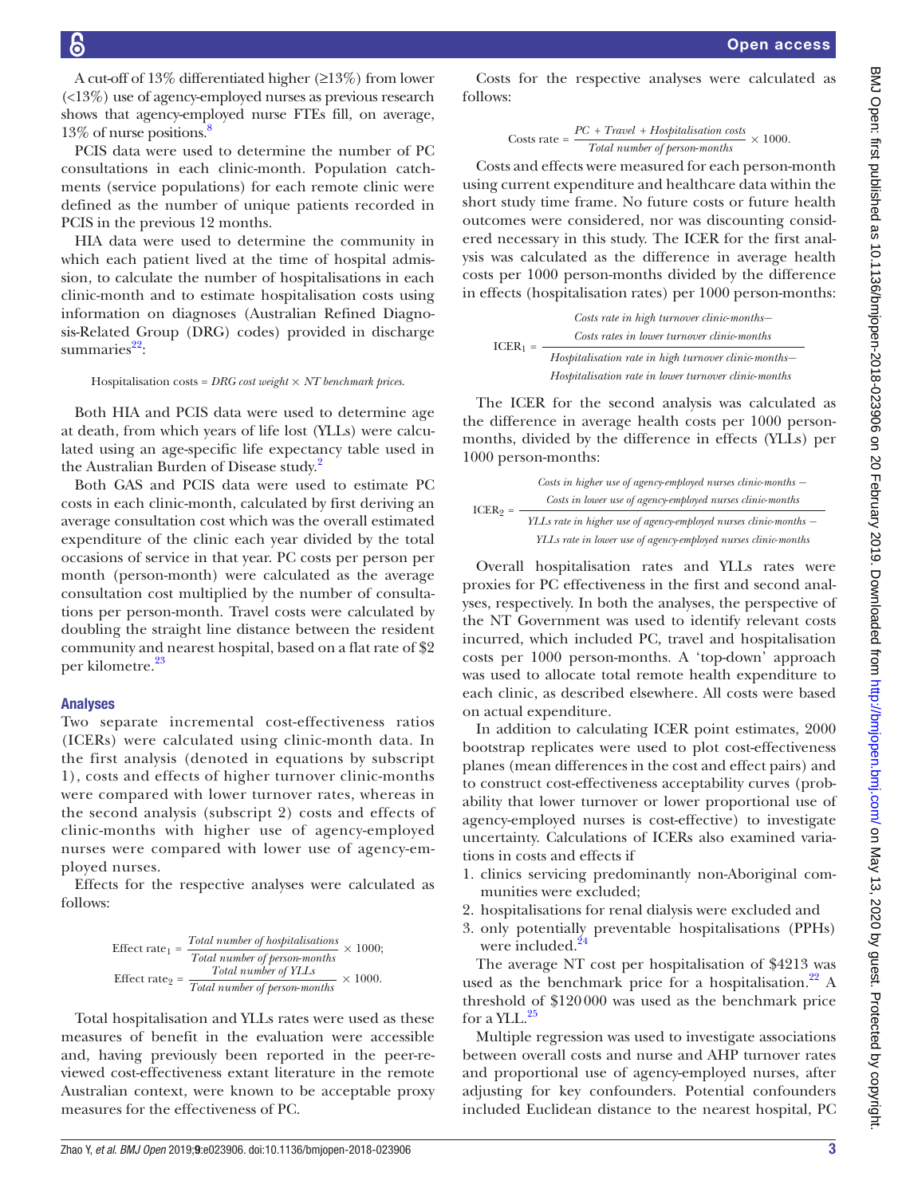A cut-off of 13% differentiated higher (≥13%) from lower (<13%) use of agency-employed nurses as previous research shows that agency-employed nurse FTEs fill, on average,

13% of nurse positions. $\frac{8}{3}$ PCIS data were used to determine the number of PC consultations in each clinic-month. Population catchments (service populations) for each remote clinic were defined as the number of unique patients recorded in PCIS in the previous 12 months.

HIA data were used to determine the community in which each patient lived at the time of hospital admission, to calculate the number of hospitalisations in each clinic-month and to estimate hospitalisation costs using information on diagnoses (Australian Refined Diagnosis-Related Group (DRG) codes) provided in discharge summaries $^{22}$ :

Hospitalisation costs = *DRG cost weight × NT benchmark prices*.

Both HIA and PCIS data were used to determine age at death, from which years of life lost (YLLs) were calculated using an age-specific life expectancy table used in the Australian Burden of Disease study.<sup>[2](#page-7-12)</sup>

Both GAS and PCIS data were used to estimate PC costs in each clinic-month, calculated by first deriving an average consultation cost which was the overall estimated expenditure of the clinic each year divided by the total occasions of service in that year. PC costs per person per month (person-month) were calculated as the average consultation cost multiplied by the number of consultations per person-month. Travel costs were calculated by doubling the straight line distance between the resident community and nearest hospital, based on a flat rate of \$2 per kilometre.<sup>[23](#page-7-13)</sup>

#### Analyses

Two separate incremental cost-effectiveness ratios (ICERs) were calculated using clinic-month data. In the first analysis (denoted in equations by subscript 1), costs and effects of higher turnover clinic-months were compared with lower turnover rates, whereas in the second analysis (subscript 2) costs and effects of clinic-months with higher use of agency-employed nurses were compared with lower use of agency-employed nurses.

Effects for the respective analyses were calculated as follows:

$$
\text{Effect rate}_{1} = \frac{Total\ number\ of\ hospitalisations}{Total\ number\ of\ person\ months} \times 1000;
$$
\n
$$
\text{Effect rate}_{2} = \frac{Total\ number\ of\ YLLs}{Total\ number\ of\ person\ months} \times 1000.
$$

Total hospitalisation and YLLs rates were used as these measures of benefit in the evaluation were accessible and, having previously been reported in the peer-reviewed cost-effectiveness extant literature in the remote Australian context, were known to be acceptable proxy measures for the effectiveness of PC.

Costs for the respective analyses were calculated as follows:

Costs rate = 
$$
\frac{PC + Travel + Hospitalisation costs}{Total number of person-months} \times 1000.
$$

Costs and effects were measured for each person-month using current expenditure and healthcare data within the short study time frame. No future costs or future health outcomes were considered, nor was discounting considered necessary in this study. The ICER for the first analysis was calculated as the difference in average health costs per 1000 person-months divided by the difference in effects (hospitalisation rates) per 1000 person-months:



The ICER for the second analysis was calculated as the difference in average health costs per 1000 personmonths, divided by the difference in effects (YLLs) per 1000 person-months:



Overall hospitalisation rates and YLLs rates were proxies for PC effectiveness in the first and second analyses, respectively. In both the analyses, the perspective of the NT Government was used to identify relevant costs incurred, which included PC, travel and hospitalisation costs per 1000 person-months. A 'top-down' approach was used to allocate total remote health expenditure to each clinic, as described elsewhere. All costs were based on actual expenditure.

In addition to calculating ICER point estimates, 2000 bootstrap replicates were used to plot cost-effectiveness planes (mean differences in the cost and effect pairs) and to construct cost-effectiveness acceptability curves (probability that lower turnover or lower proportional use of agency-employed nurses is cost-effective) to investigate uncertainty. Calculations of ICERs also examined variations in costs and effects if

- 1. clinics servicing predominantly non-Aboriginal communities were excluded;
- 2. hospitalisations for renal dialysis were excluded and
- 3. only potentially preventable hospitalisations (PPHs) were included.<sup>[24](#page-7-14)</sup>

The average NT cost per hospitalisation of \$4213 was used as the benchmark price for a hospitalisation.<sup>22</sup> A threshold of \$120000 was used as the benchmark price for a YLL. $^{25}$  $^{25}$  $^{25}$ 

Multiple regression was used to investigate associations between overall costs and nurse and AHP turnover rates and proportional use of agency-employed nurses, after adjusting for key confounders. Potential confounders included Euclidean distance to the nearest hospital, PC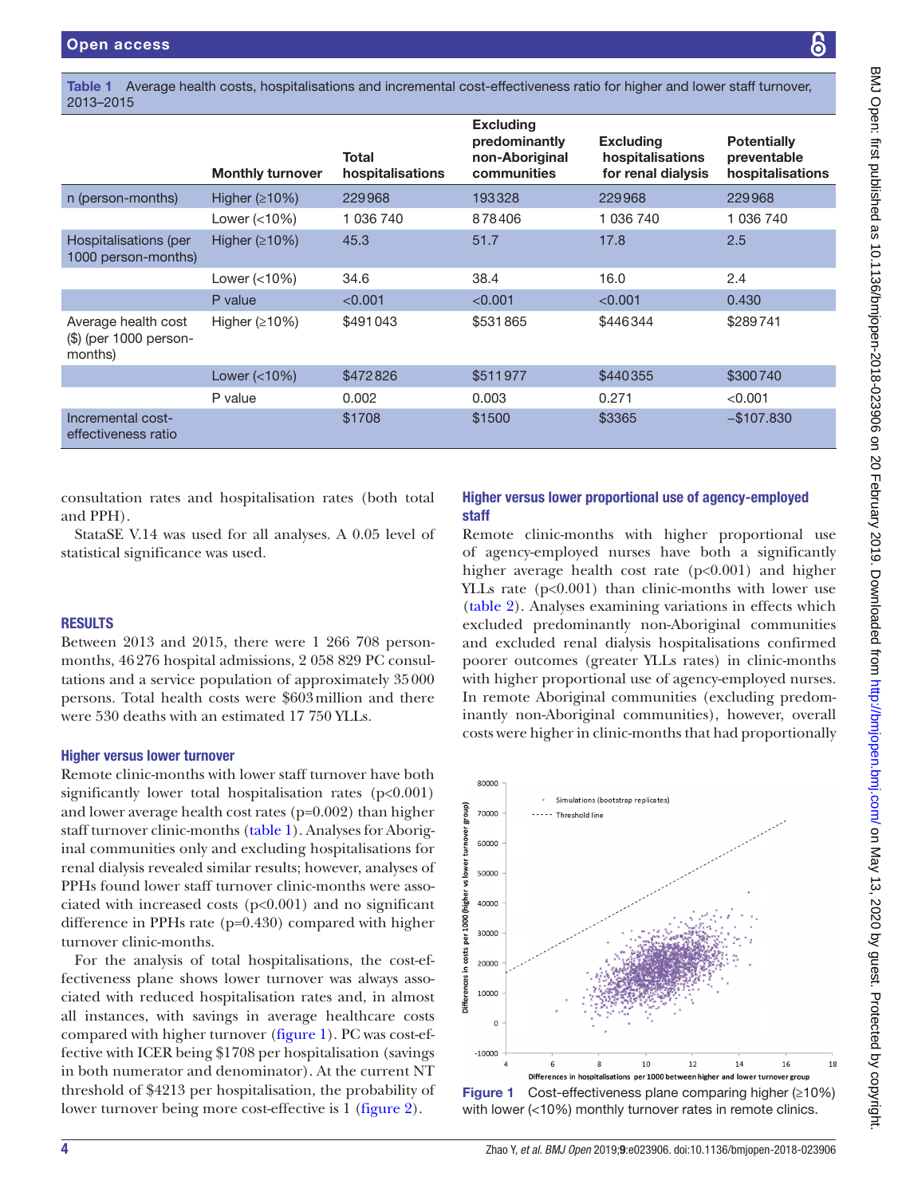<span id="page-3-0"></span>Table 1 Average health costs, hospitalisations and incremental cost-effectiveness ratio for higher and lower staff turnover, 2013–2015

|                                                          | <b>Monthly turnover</b>       | <b>Total</b><br>hospitalisations | <b>Excluding</b><br>predominantly<br>non-Aboriginal<br>communities | <b>Excluding</b><br>hospitalisations<br>for renal dialysis | <b>Potentially</b><br>preventable<br>hospitalisations |
|----------------------------------------------------------|-------------------------------|----------------------------------|--------------------------------------------------------------------|------------------------------------------------------------|-------------------------------------------------------|
| n (person-months)                                        | Higher $(210%)$               | 229968                           | 193328                                                             | 229968                                                     | 229968                                                |
|                                                          | Lower $\left( < 10\% \right)$ | 1 036 740                        | 878406                                                             | 1 036 740                                                  | 1 036 740                                             |
| Hospitalisations (per<br>1000 person-months)             | Higher $(210%)$               | 45.3                             | 51.7                                                               | 17.8                                                       | 2.5                                                   |
|                                                          | Lower $(<10\%)$               | 34.6                             | 38.4                                                               | 16.0                                                       | 2.4                                                   |
|                                                          | P value                       | < 0.001                          | < 0.001                                                            | < 0.001                                                    | 0.430                                                 |
| Average health cost<br>(\$) (per 1000 person-<br>months) | Higher $(210%)$               | \$491043                         | \$531865                                                           | \$446344                                                   | \$289741                                              |
|                                                          | Lower $\left( < 10\% \right)$ | \$472826                         | \$511977                                                           | \$440355                                                   | \$300740                                              |
|                                                          | P value                       | 0.002                            | 0.003                                                              | 0.271                                                      | < 0.001                                               |
| Incremental cost-<br>effectiveness ratio                 |                               | \$1708                           | \$1500                                                             | \$3365                                                     | $-$107.830$                                           |

consultation rates and hospitalisation rates (both total and PPH).

StataSE V.14 was used for all analyses. A 0.05 level of statistical significance was used.

#### **RESULTS**

Between 2013 and 2015, there were 1 266 708 personmonths, 46276 hospital admissions, 2 058 829 PC consultations and a service population of approximately 35000 persons. Total health costs were \$603million and there were 530 deaths with an estimated 17 750 YLLs.

#### Higher versus lower turnover

Remote clinic-months with lower staff turnover have both significantly lower total hospitalisation rates  $(p<0.001)$ and lower average health cost rates (p=0.002) than higher staff turnover clinic-months [\(table](#page-3-0) 1). Analyses for Aboriginal communities only and excluding hospitalisations for renal dialysis revealed similar results; however, analyses of PPHs found lower staff turnover clinic-months were associated with increased costs (p<0.001) and no significant difference in PPHs rate (p=0.430) compared with higher turnover clinic-months.

For the analysis of total hospitalisations, the cost-effectiveness plane shows lower turnover was always associated with reduced hospitalisation rates and, in almost all instances, with savings in average healthcare costs compared with higher turnover ([figure](#page-3-1) 1). PC was cost-effective with ICER being \$1708 per hospitalisation (savings in both numerator and denominator). At the current NT threshold of \$4213 per hospitalisation, the probability of lower turnover being more cost-effective is 1 ([figure](#page-4-0) 2).

# Higher versus lower proportional use of agency-employed staff

Remote clinic-months with higher proportional use of agency-employed nurses have both a significantly higher average health cost rate (p<0.001) and higher YLLs rate ( $p<0.001$ ) than clinic-months with lower use [\(table](#page-4-1) 2). Analyses examining variations in effects which excluded predominantly non-Aboriginal communities and excluded renal dialysis hospitalisations confirmed poorer outcomes (greater YLLs rates) in clinic-months with higher proportional use of agency-employed nurses. In remote Aboriginal communities (excluding predominantly non-Aboriginal communities), however, overall costs were higher in clinic-months that had proportionally

8

<span id="page-3-1"></span>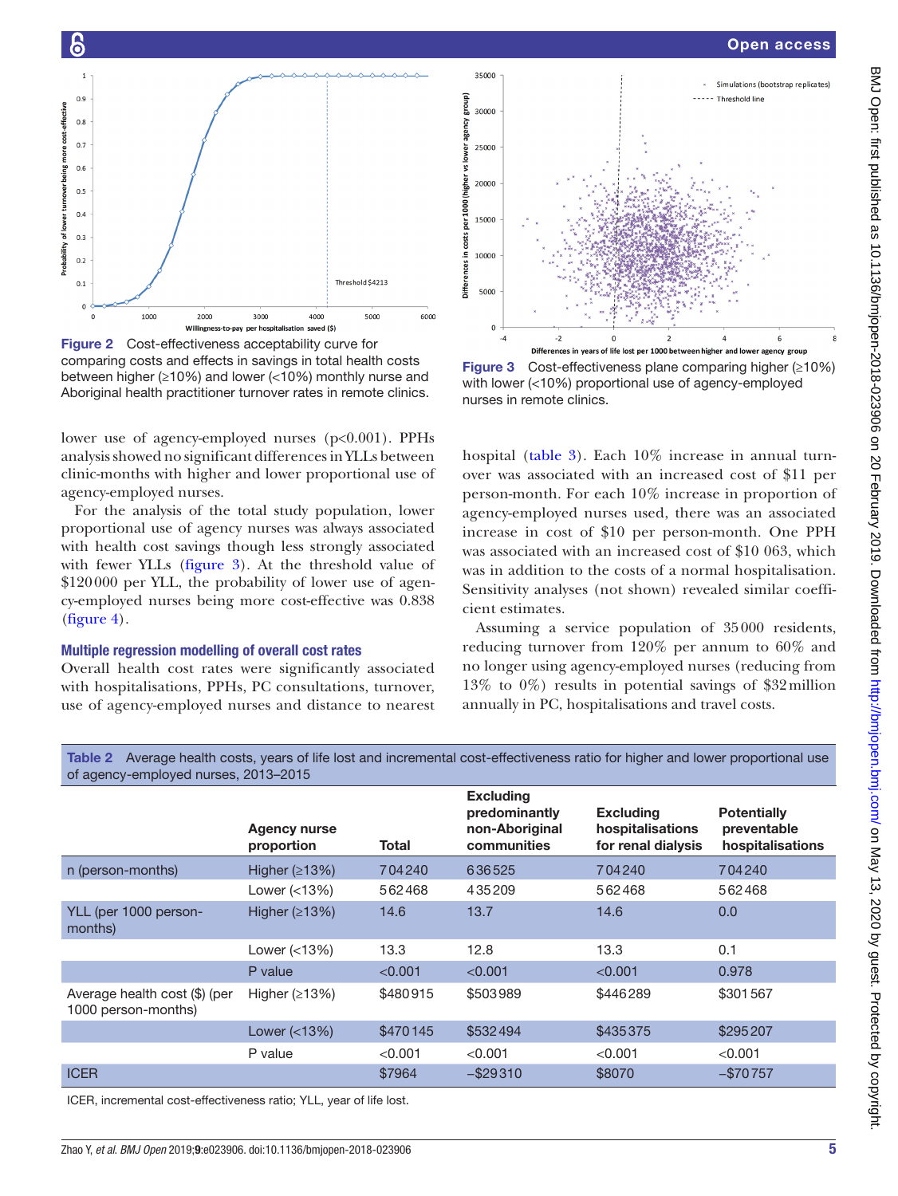### Open access



<span id="page-4-0"></span>Figure 2 Cost-effectiveness acceptability curve for comparing costs and effects in savings in total health costs between higher (≥10%) and lower (<10%) monthly nurse and Aboriginal health practitioner turnover rates in remote clinics.

lower use of agency-employed nurses ( $p<0.001$ ). PPHs analysis showed no significant differences in YLLs between clinic-months with higher and lower proportional use of agency-employed nurses.

For the analysis of the total study population, lower proportional use of agency nurses was always associated with health cost savings though less strongly associated with fewer YLLs ([figure](#page-4-2) 3). At the threshold value of \$120000 per YLL, the probability of lower use of agency-employed nurses being more cost-effective was 0.838 ([figure](#page-5-0) 4).

#### Multiple regression modelling of overall cost rates

Overall health cost rates were significantly associated with hospitalisations, PPHs, PC consultations, turnover, use of agency-employed nurses and distance to nearest



<span id="page-4-2"></span>Figure 3 Cost-effectiveness plane comparing higher (≥10%) with lower (<10%) proportional use of agency-employed nurses in remote clinics.

hospital ([table](#page-5-1) 3). Each 10% increase in annual turnover was associated with an increased cost of \$11 per person-month. For each 10% increase in proportion of agency-employed nurses used, there was an associated increase in cost of \$10 per person-month. One PPH was associated with an increased cost of \$10 063, which was in addition to the costs of a normal hospitalisation. Sensitivity analyses (not shown) revealed similar coefficient estimates.

Assuming a service population of 35000 residents, reducing turnover from 120% per annum to 60% and no longer using agency-employed nurses (reducing from 13% to 0%) results in potential savings of \$32million annually in PC, hospitalisations and travel costs.

<span id="page-4-1"></span>Table 2 Average health costs, years of life lost and incremental cost-effectiveness ratio for higher and lower proportional use of agency-employed nurses, 2013–2015

 $35000$ 

|                                                      | <b>Agency nurse</b><br>proportion | Total    | <b>Excluding</b><br>predominantly<br>non-Aboriginal<br>communities | <b>Excluding</b><br>hospitalisations<br>for renal dialysis | <b>Potentially</b><br>preventable<br>hospitalisations |
|------------------------------------------------------|-----------------------------------|----------|--------------------------------------------------------------------|------------------------------------------------------------|-------------------------------------------------------|
| n (person-months)                                    | Higher $(213%)$                   | 704240   | 636525                                                             | 704240                                                     | 704240                                                |
|                                                      | Lower $(<13\%)$                   | 562468   | 435209                                                             | 562468                                                     | 562468                                                |
| YLL (per 1000 person-<br>months)                     | Higher $(213%)$                   | 14.6     | 13.7                                                               | 14.6                                                       | 0.0                                                   |
|                                                      | Lower (<13%)                      | 13.3     | 12.8                                                               | 13.3                                                       | 0.1                                                   |
|                                                      | P value                           | < 0.001  | < 0.001                                                            | < 0.001                                                    | 0.978                                                 |
| Average health cost (\$) (per<br>1000 person-months) | Higher $(213%)$                   | \$480915 | \$503989                                                           | \$446289                                                   | \$301567                                              |
|                                                      | Lower (<13%)                      | \$470145 | \$532494                                                           | \$435375                                                   | \$295207                                              |
|                                                      | P value                           | < 0.001  | < 0.001                                                            | < 0.001                                                    | < 0.001                                               |
| <b>ICER</b>                                          |                                   | \$7964   | $-$ \$29310                                                        | \$8070                                                     | $-$70757$                                             |
| $- - -$                                              |                                   |          |                                                                    |                                                            |                                                       |

ICER, incremental cost-effectiveness ratio; YLL, year of life lost.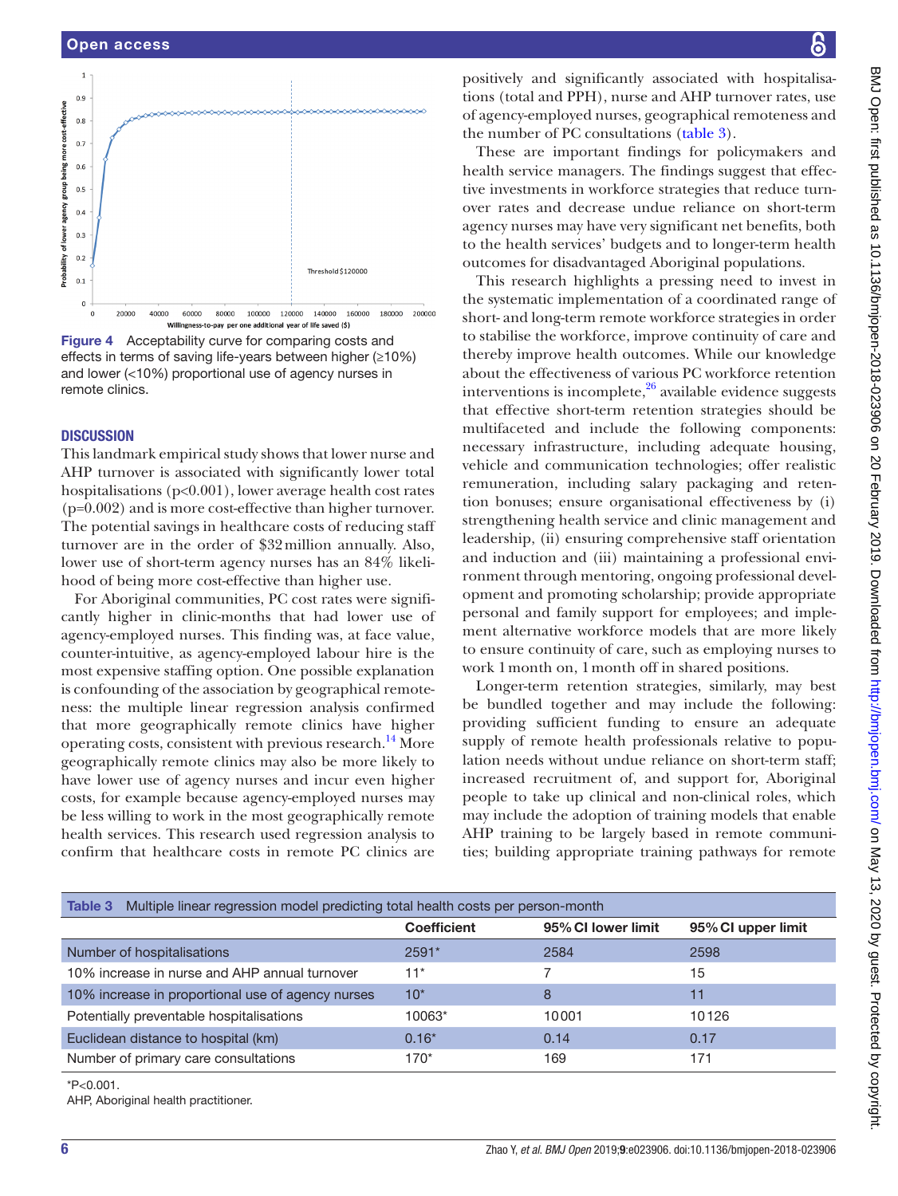#### Open access



<span id="page-5-0"></span>Figure 4 Acceptability curve for comparing costs and effects in terms of saving life-years between higher (≥10%) and lower (<10%) proportional use of agency nurses in remote clinics.

#### **DISCUSSION**

This landmark empirical study shows that lower nurse and AHP turnover is associated with significantly lower total hospitalisations (p<0.001), lower average health cost rates (p=0.002) and is more cost-effective than higher turnover. The potential savings in healthcare costs of reducing staff turnover are in the order of \$32million annually. Also, lower use of short-term agency nurses has an 84% likelihood of being more cost-effective than higher use.

For Aboriginal communities, PC cost rates were significantly higher in clinic-months that had lower use of agency-employed nurses. This finding was, at face value, counter-intuitive, as agency-employed labour hire is the most expensive staffing option. One possible explanation is confounding of the association by geographical remoteness: the multiple linear regression analysis confirmed that more geographically remote clinics have higher operating costs, consistent with previous research.<sup>14</sup> More geographically remote clinics may also be more likely to have lower use of agency nurses and incur even higher costs, for example because agency-employed nurses may be less willing to work in the most geographically remote health services. This research used regression analysis to confirm that healthcare costs in remote PC clinics are

positively and significantly associated with hospitalisations (total and PPH), nurse and AHP turnover rates, use of agency-employed nurses, geographical remoteness and the number of PC consultations [\(table](#page-5-1) 3).

These are important findings for policymakers and health service managers. The findings suggest that effective investments in workforce strategies that reduce turnover rates and decrease undue reliance on short-term agency nurses may have very significant net benefits, both to the health services' budgets and to longer-term health outcomes for disadvantaged Aboriginal populations.

This research highlights a pressing need to invest in the systematic implementation of a coordinated range of short- and long-term remote workforce strategies in order to stabilise the workforce, improve continuity of care and thereby improve health outcomes. While our knowledge about the effectiveness of various PC workforce retention interventions is incomplete, $26$  available evidence suggests that effective short-term retention strategies should be multifaceted and include the following components: necessary infrastructure, including adequate housing, vehicle and communication technologies; offer realistic remuneration, including salary packaging and retention bonuses; ensure organisational effectiveness by (i) strengthening health service and clinic management and leadership, (ii) ensuring comprehensive staff orientation and induction and (iii) maintaining a professional environment through mentoring, ongoing professional development and promoting scholarship; provide appropriate personal and family support for employees; and implement alternative workforce models that are more likely to ensure continuity of care, such as employing nurses to work 1month on, 1month off in shared positions.

Longer-term retention strategies, similarly, may best be bundled together and may include the following: providing sufficient funding to ensure an adequate supply of remote health professionals relative to population needs without undue reliance on short-term staff; increased recruitment of, and support for, Aboriginal people to take up clinical and non-clinical roles, which may include the adoption of training models that enable AHP training to be largely based in remote communities; building appropriate training pathways for remote

<span id="page-5-1"></span>

| Multiple linear regression model predicting total health costs per person-month<br>Table 3 |                    |                    |                    |  |  |  |  |  |
|--------------------------------------------------------------------------------------------|--------------------|--------------------|--------------------|--|--|--|--|--|
|                                                                                            | <b>Coefficient</b> | 95% CI lower limit | 95% CI upper limit |  |  |  |  |  |
| Number of hospitalisations                                                                 | $2591*$            | 2584               | 2598               |  |  |  |  |  |
| 10% increase in nurse and AHP annual turnover                                              | $11*$              |                    | 15                 |  |  |  |  |  |
| 10% increase in proportional use of agency nurses                                          | $10*$              | 8                  | 11                 |  |  |  |  |  |
| Potentially preventable hospitalisations                                                   | 10063*             | 10001              | 10126              |  |  |  |  |  |
| Euclidean distance to hospital (km)                                                        | $0.16*$            | 0.14               | 0.17               |  |  |  |  |  |
| Number of primary care consultations                                                       | 170*               | 169                | 171                |  |  |  |  |  |

\*P<0.001.

AHP, Aboriginal health practitioner.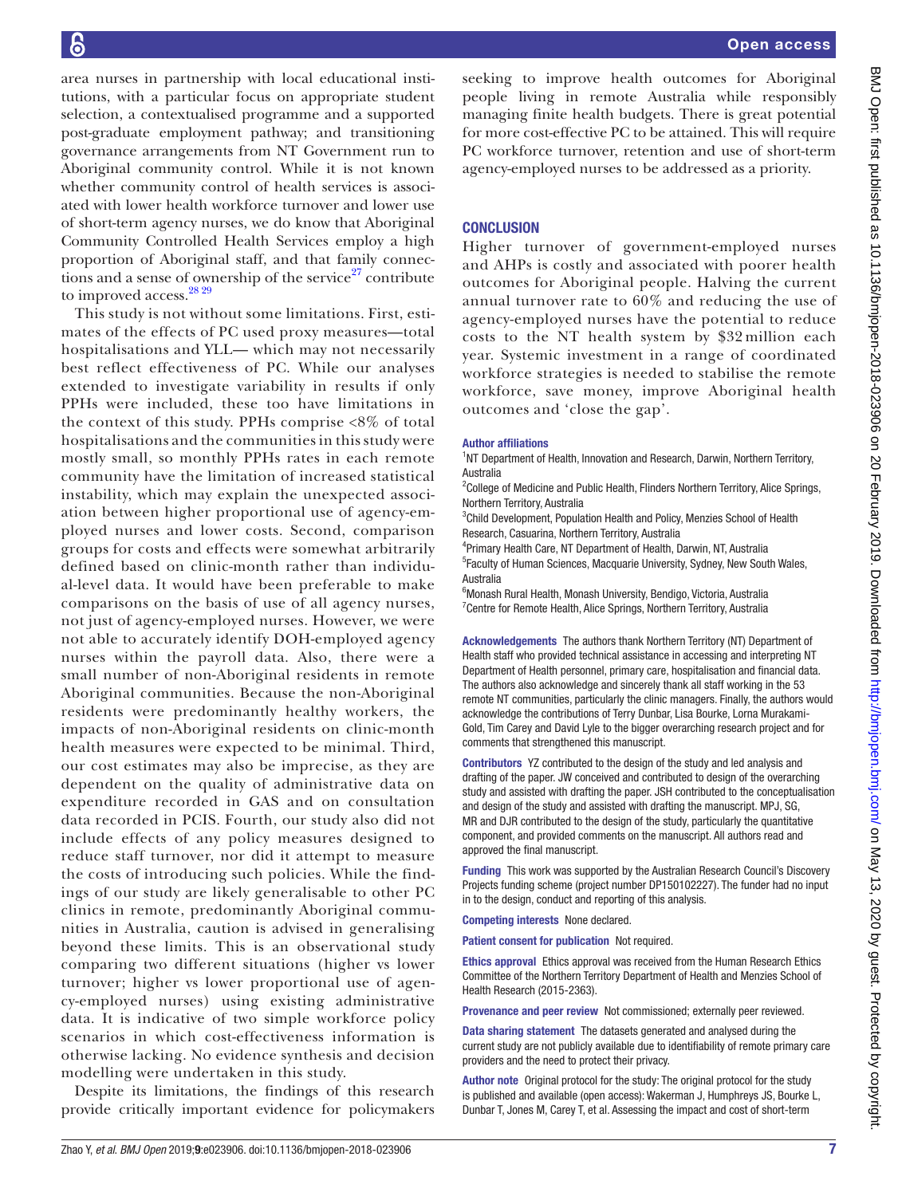area nurses in partnership with local educational institutions, with a particular focus on appropriate student selection, a contextualised programme and a supported post-graduate employment pathway; and transitioning governance arrangements from NT Government run to Aboriginal community control. While it is not known whether community control of health services is associated with lower health workforce turnover and lower use of short-term agency nurses, we do know that Aboriginal Community Controlled Health Services employ a high proportion of Aboriginal staff, and that family connections and a sense of ownership of the service<sup>27</sup> contribute to improved access.  $^{28\,29}$ 

This study is not without some limitations. First, estimates of the effects of PC used proxy measures—total hospitalisations and YLL— which may not necessarily best reflect effectiveness of PC. While our analyses extended to investigate variability in results if only PPHs were included, these too have limitations in the context of this study. PPHs comprise <8% of total hospitalisations and the communities in this study were mostly small, so monthly PPHs rates in each remote community have the limitation of increased statistical instability, which may explain the unexpected association between higher proportional use of agency-employed nurses and lower costs. Second, comparison groups for costs and effects were somewhat arbitrarily defined based on clinic-month rather than individual-level data. It would have been preferable to make comparisons on the basis of use of all agency nurses, not just of agency-employed nurses. However, we were not able to accurately identify DOH-employed agency nurses within the payroll data. Also, there were a small number of non-Aboriginal residents in remote Aboriginal communities. Because the non-Aboriginal residents were predominantly healthy workers, the impacts of non-Aboriginal residents on clinic-month health measures were expected to be minimal. Third, our cost estimates may also be imprecise, as they are dependent on the quality of administrative data on expenditure recorded in GAS and on consultation data recorded in PCIS. Fourth, our study also did not include effects of any policy measures designed to reduce staff turnover, nor did it attempt to measure the costs of introducing such policies. While the findings of our study are likely generalisable to other PC clinics in remote, predominantly Aboriginal communities in Australia, caution is advised in generalising beyond these limits. This is an observational study comparing two different situations (higher vs lower turnover; higher vs lower proportional use of agency-employed nurses) using existing administrative data. It is indicative of two simple workforce policy scenarios in which cost-effectiveness information is otherwise lacking. No evidence synthesis and decision modelling were undertaken in this study.

Despite its limitations, the findings of this research provide critically important evidence for policymakers seeking to improve health outcomes for Aboriginal people living in remote Australia while responsibly managing finite health budgets. There is great potential for more cost-effective PC to be attained. This will require PC workforce turnover, retention and use of short-term agency-employed nurses to be addressed as a priority.

# **CONCLUSION**

Higher turnover of government-employed nurses and AHPs is costly and associated with poorer health outcomes for Aboriginal people. Halving the current annual turnover rate to 60% and reducing the use of agency-employed nurses have the potential to reduce costs to the NT health system by \$32 million each year. Systemic investment in a range of coordinated workforce strategies is needed to stabilise the remote workforce, save money, improve Aboriginal health outcomes and 'close the gap'.

#### Author affiliations

<sup>1</sup>NT Department of Health, Innovation and Research, Darwin, Northern Territory, Australia

<sup>2</sup>College of Medicine and Public Health, Flinders Northern Territory, Alice Springs, Northern Territory, Australia

<sup>3</sup>Child Development, Population Health and Policy, Menzies School of Health Research, Casuarina, Northern Territory, Australia

4 Primary Health Care, NT Department of Health, Darwin, NT, Australia

5 Faculty of Human Sciences, Macquarie University, Sydney, New South Wales, Australia

6 Monash Rural Health, Monash University, Bendigo, Victoria, Australia <sup>7</sup> Centre for Remote Health, Alice Springs, Northern Territory, Australia

Acknowledgements The authors thank Northern Territory (NT) Department of Health staff who provided technical assistance in accessing and interpreting NT Department of Health personnel, primary care, hospitalisation and financial data. The authors also acknowledge and sincerely thank all staff working in the 53 remote NT communities, particularly the clinic managers. Finally, the authors would acknowledge the contributions of Terry Dunbar, Lisa Bourke, Lorna Murakami-Gold, Tim Carey and David Lyle to the bigger overarching research project and for comments that strengthened this manuscript.

Contributors YZ contributed to the design of the study and led analysis and drafting of the paper. JW conceived and contributed to design of the overarching study and assisted with drafting the paper. JSH contributed to the conceptualisation and design of the study and assisted with drafting the manuscript. MPJ, SG, MR and DJR contributed to the design of the study, particularly the quantitative component, and provided comments on the manuscript. All authors read and approved the final manuscript.

Funding This work was supported by the Australian Research Council's Discovery Projects funding scheme (project number DP150102227). The funder had no input in to the design, conduct and reporting of this analysis.

Competing interests None declared.

Patient consent for publication Not required.

Ethics approval Ethics approval was received from the Human Research Ethics Committee of the Northern Territory Department of Health and Menzies School of Health Research (2015-2363).

Provenance and peer review Not commissioned; externally peer reviewed.

Data sharing statement The datasets generated and analysed during the current study are not publicly available due to identifiability of remote primary care providers and the need to protect their privacy.

Author note Original protocol for the study: The original protocol for the study is published and available (open access): Wakerman J, Humphreys JS, Bourke L, Dunbar T, Jones M, Carey T, et al. Assessing the impact and cost of short-term